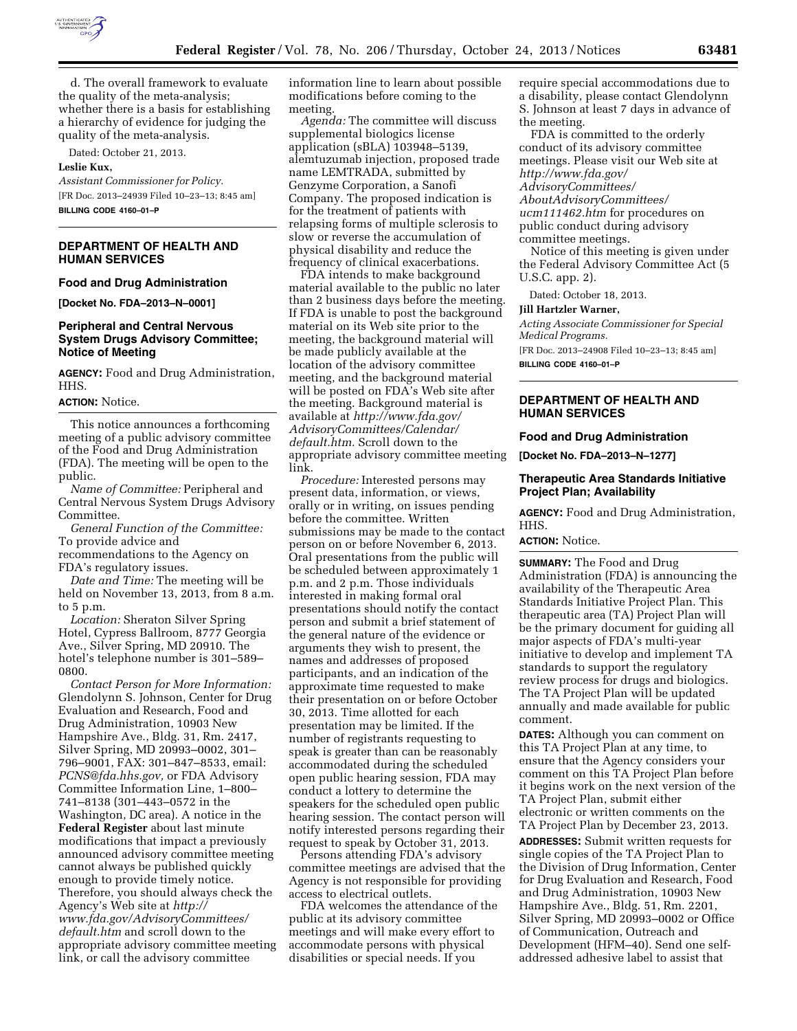

d. The overall framework to evaluate the quality of the meta-analysis; whether there is a basis for establishing a hierarchy of evidence for judging the quality of the meta-analysis.

Dated: October 21, 2013.

### **Leslie Kux,**

*Assistant Commissioner for Policy.*  [FR Doc. 2013–24939 Filed 10–23–13; 8:45 am] **BILLING CODE 4160–01–P** 

**DEPARTMENT OF HEALTH AND HUMAN SERVICES** 

#### **Food and Drug Administration**

**[Docket No. FDA–2013–N–0001]** 

# **Peripheral and Central Nervous System Drugs Advisory Committee; Notice of Meeting**

**AGENCY:** Food and Drug Administration, HHS.

### **ACTION:** Notice.

This notice announces a forthcoming meeting of a public advisory committee of the Food and Drug Administration (FDA). The meeting will be open to the public.

*Name of Committee:* Peripheral and Central Nervous System Drugs Advisory Committee.

*General Function of the Committee:*  To provide advice and

recommendations to the Agency on FDA's regulatory issues.

*Date and Time:* The meeting will be held on November 13, 2013, from 8 a.m. to 5 p.m.

*Location:* Sheraton Silver Spring Hotel, Cypress Ballroom, 8777 Georgia Ave., Silver Spring, MD 20910. The hotel's telephone number is 301–589– 0800.

*Contact Person for More Information:*  Glendolynn S. Johnson, Center for Drug Evaluation and Research, Food and Drug Administration, 10903 New Hampshire Ave., Bldg. 31, Rm. 2417, Silver Spring, MD 20993–0002, 301– 796–9001, FAX: 301–847–8533, email: *[PCNS@fda.hhs.gov,](mailto:PCNS@fda.hhs.gov)* or FDA Advisory Committee Information Line, 1–800– 741–8138 (301–443–0572 in the Washington, DC area). A notice in the **Federal Register** about last minute modifications that impact a previously announced advisory committee meeting cannot always be published quickly enough to provide timely notice. Therefore, you should always check the Agency's Web site at *[http://](http://www.fda.gov/AdvisoryCommittees/default.htm) [www.fda.gov/AdvisoryCommittees/](http://www.fda.gov/AdvisoryCommittees/default.htm) [default.htm](http://www.fda.gov/AdvisoryCommittees/default.htm)* and scroll down to the appropriate advisory committee meeting link, or call the advisory committee

information line to learn about possible modifications before coming to the meeting.

*Agenda:* The committee will discuss supplemental biologics license application (sBLA) 103948–5139, alemtuzumab injection, proposed trade name LEMTRADA, submitted by Genzyme Corporation, a Sanofi Company. The proposed indication is for the treatment of patients with relapsing forms of multiple sclerosis to slow or reverse the accumulation of physical disability and reduce the frequency of clinical exacerbations.

FDA intends to make background material available to the public no later than 2 business days before the meeting. If FDA is unable to post the background material on its Web site prior to the meeting, the background material will be made publicly available at the location of the advisory committee meeting, and the background material will be posted on FDA's Web site after the meeting. Background material is available at *[http://www.fda.gov/](http://www.fda.gov/AdvisoryCommittees/Calendar/default.htm) [AdvisoryCommittees/Calendar/](http://www.fda.gov/AdvisoryCommittees/Calendar/default.htm) [default.htm.](http://www.fda.gov/AdvisoryCommittees/Calendar/default.htm)* Scroll down to the appropriate advisory committee meeting link.

*Procedure:* Interested persons may present data, information, or views, orally or in writing, on issues pending before the committee. Written submissions may be made to the contact person on or before November 6, 2013. Oral presentations from the public will be scheduled between approximately 1 p.m. and 2 p.m. Those individuals interested in making formal oral presentations should notify the contact person and submit a brief statement of the general nature of the evidence or arguments they wish to present, the names and addresses of proposed participants, and an indication of the approximate time requested to make their presentation on or before October 30, 2013. Time allotted for each presentation may be limited. If the number of registrants requesting to speak is greater than can be reasonably accommodated during the scheduled open public hearing session, FDA may conduct a lottery to determine the speakers for the scheduled open public hearing session. The contact person will notify interested persons regarding their request to speak by October 31, 2013.

Persons attending FDA's advisory committee meetings are advised that the Agency is not responsible for providing access to electrical outlets.

FDA welcomes the attendance of the public at its advisory committee meetings and will make every effort to accommodate persons with physical disabilities or special needs. If you

require special accommodations due to a disability, please contact Glendolynn S. Johnson at least 7 days in advance of the meeting.

FDA is committed to the orderly conduct of its advisory committee meetings. Please visit our Web site at *[http://www.fda.gov/](http://www.fda.gov/AdvisoryCommittees/AboutAdvisoryCommittees/ucm111462.htm) [AdvisoryCommittees/](http://www.fda.gov/AdvisoryCommittees/AboutAdvisoryCommittees/ucm111462.htm) [AboutAdvisoryCommittees/](http://www.fda.gov/AdvisoryCommittees/AboutAdvisoryCommittees/ucm111462.htm) [ucm111462.htm](http://www.fda.gov/AdvisoryCommittees/AboutAdvisoryCommittees/ucm111462.htm)* for procedures on public conduct during advisory committee meetings.

Notice of this meeting is given under the Federal Advisory Committee Act (5 U.S.C. app. 2).

Dated: October 18, 2013.

#### **Jill Hartzler Warner,**

*Acting Associate Commissioner for Special Medical Programs.* 

[FR Doc. 2013–24908 Filed 10–23–13; 8:45 am] **BILLING CODE 4160–01–P** 

# **DEPARTMENT OF HEALTH AND HUMAN SERVICES**

### **Food and Drug Administration**

**[Docket No. FDA–2013–N–1277]** 

## **Therapeutic Area Standards Initiative Project Plan; Availability**

**AGENCY:** Food and Drug Administration, HHS.

#### **ACTION:** Notice.

**SUMMARY:** The Food and Drug Administration (FDA) is announcing the availability of the Therapeutic Area Standards Initiative Project Plan. This therapeutic area (TA) Project Plan will be the primary document for guiding all major aspects of FDA's multi-year initiative to develop and implement TA standards to support the regulatory review process for drugs and biologics. The TA Project Plan will be updated annually and made available for public comment.

**DATES:** Although you can comment on this TA Project Plan at any time, to ensure that the Agency considers your comment on this TA Project Plan before it begins work on the next version of the TA Project Plan, submit either electronic or written comments on the TA Project Plan by December 23, 2013. **ADDRESSES:** Submit written requests for single copies of the TA Project Plan to the Division of Drug Information, Center for Drug Evaluation and Research, Food and Drug Administration, 10903 New Hampshire Ave., Bldg. 51, Rm. 2201, Silver Spring, MD 20993–0002 or Office of Communication, Outreach and Development (HFM–40). Send one selfaddressed adhesive label to assist that